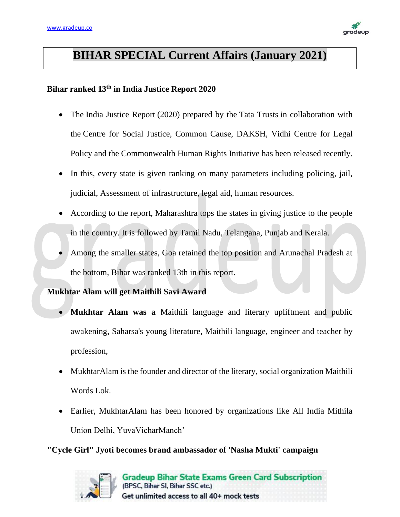

# **BIHAR SPECIAL Current Affairs (January 2021)**

## **Bihar ranked 13th in India Justice Report 2020**

- The India Justice Report (2020) prepared by the Tata Trusts in collaboration with the Centre for Social Justice, Common Cause, DAKSH, Vidhi Centre for Legal Policy and the Commonwealth Human Rights Initiative has been released recently.
- In this, every state is given ranking on many parameters including policing, jail, judicial, Assessment of infrastructure, legal aid, human resources.
- According to the report, Maharashtra tops the states in giving justice to the people in the country. It is followed by Tamil Nadu, Telangana, Punjab and Kerala.
- Among the smaller states, Goa retained the top position and Arunachal Pradesh at the bottom, Bihar was ranked 13th in this report.

### **Mukhtar Alam will get Maithili Savi Award**

- **Mukhtar Alam was a** Maithili language and literary upliftment and public awakening, Saharsa's young literature, Maithili language, engineer and teacher by profession,
- MukhtarAlam is the founder and director of the literary, social organization Maithili Words Lok.
- Earlier, MukhtarAlam has been honored by organizations like All India Mithila Union Delhi, YuvaVicharManch'

**"Cycle Girl" Jyoti becomes brand ambassador of 'Nasha Mukti' campaign**

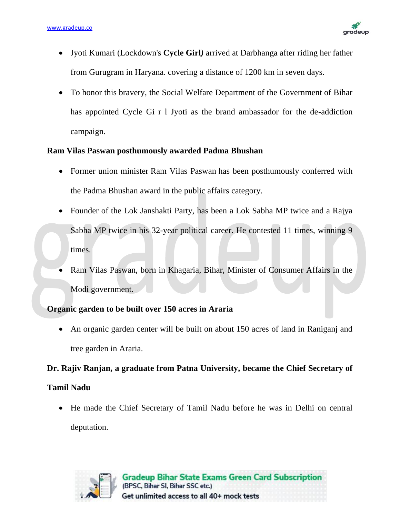

- Jyoti Kumari (Lockdown's **Cycle Girl***)* arrived at Darbhanga after riding her father from Gurugram in Haryana. covering a distance of 1200 km in seven days.
- To honor this bravery, the Social Welfare Department of the Government of Bihar has appointed Cycle Gi r l Jyoti as the brand ambassador for the de-addiction campaign.

### **Ram Vilas Paswan posthumously awarded Padma Bhushan**

- Former union minister Ram Vilas Paswan has been posthumously conferred with the Padma Bhushan award in the public affairs category.
- Founder of the Lok Janshakti Party, has been a Lok Sabha MP twice and a Rajya Sabha MP twice in his 32-year political career. He contested 11 times, winning 9 times.
- Ram Vilas Paswan, born in Khagaria, Bihar, Minister of Consumer Affairs in the Modi government.

### **Organic garden to be built over 150 acres in Araria**

• An organic garden center will be built on about 150 acres of land in Raniganj and tree garden in Araria.

### **Dr. Rajiv Ranjan, a graduate from Patna University, became the Chief Secretary of**

### **Tamil Nadu**

• He made the Chief Secretary of Tamil Nadu before he was in Delhi on central deputation.

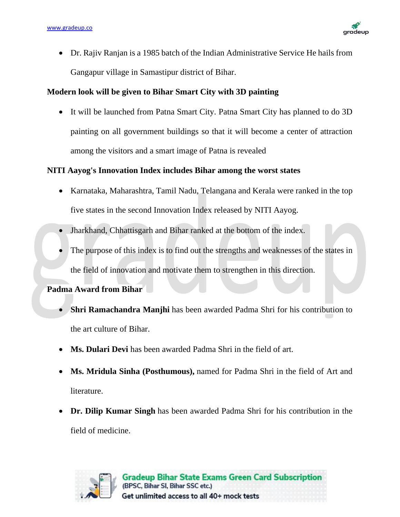

• Dr. Rajiv Ranjan is a 1985 batch of the Indian Administrative Service He hails from Gangapur village in Samastipur district of Bihar.

### **Modern look will be given to Bihar Smart City with 3D painting**

• It will be launched from Patna Smart City. Patna Smart City has planned to do 3D painting on all government buildings so that it will become a center of attraction among the visitors and a smart image of Patna is revealed

### **NITI Aayog's Innovation Index includes Bihar among the worst states**

- Karnataka, Maharashtra, Tamil Nadu, Telangana and Kerala were ranked in the top five states in the second Innovation Index released by NITI Aayog.
- Jharkhand, Chhattisgarh and Bihar ranked at the bottom of the index.
- The purpose of this index is to find out the strengths and weaknesses of the states in the field of innovation and motivate them to strengthen in this direction.

### **Padma Award from Bihar**

- **Shri Ramachandra Manjhi** has been awarded Padma Shri for his contribution to the art culture of Bihar.
- **Ms. Dulari Devi** has been awarded Padma Shri in the field of art.
- **Ms. Mridula Sinha (Posthumous),** named for Padma Shri in the field of Art and literature.
- **Dr. Dilip Kumar Singh** has been awarded Padma Shri for his contribution in the field of medicine.